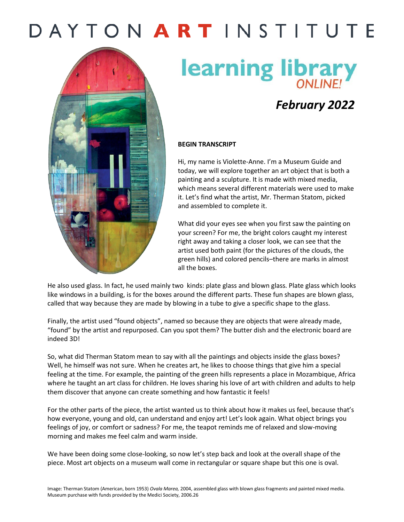### DAYTON ARTINSTITUTE



# **learning library**

### *February 2022*

#### **BEGIN TRANSCRIPT**

Hi, my name is Violette-Anne. I'm a Museum Guide and today, we will explore together an art object that is both a painting and a sculpture. It is made with mixed media, which means several different materials were used to make it. Let's find what the artist, Mr. Therman Statom, picked and assembled to complete it.

What did your eyes see when you first saw the painting on your screen? For me, the bright colors caught my interest right away and taking a closer look, we can see that the artist used both paint (for the pictures of the clouds, the green hills) and colored pencils–there are marks in almost all the boxes.

He also used glass. In fact, he used mainly two kinds: plate glass and blown glass. Plate glass which looks like windows in a building, is for the boxes around the different parts. These fun shapes are blown glass, called that way because they are made by blowing in a tube to give a specific shape to the glass.

Finally, the artist used "found objects", named so because they are objects that were already made, "found" by the artist and repurposed. Can you spot them? The butter dish and the electronic board are indeed 3D!

So, what did Therman Statom mean to say with all the paintings and objects inside the glass boxes? Well, he himself was not sure. When he creates art, he likes to choose things that give him a special feeling at the time. For example, the painting of the green hills represents a place in Mozambique, Africa where he taught an art class for children. He loves sharing his love of art with children and adults to help them discover that anyone can create something and how fantastic it feels!

For the other parts of the piece, the artist wanted us to think about how it makes us feel, because that's how everyone, young and old, can understand and enjoy art! Let's look again. What object brings you feelings of joy, or comfort or sadness? For me, the teapot reminds me of relaxed and slow-moving morning and makes me feel calm and warm inside.

We have been doing some close-looking, so now let's step back and look at the overall shape of the piece. Most art objects on a museum wall come in rectangular or square shape but this one is oval.